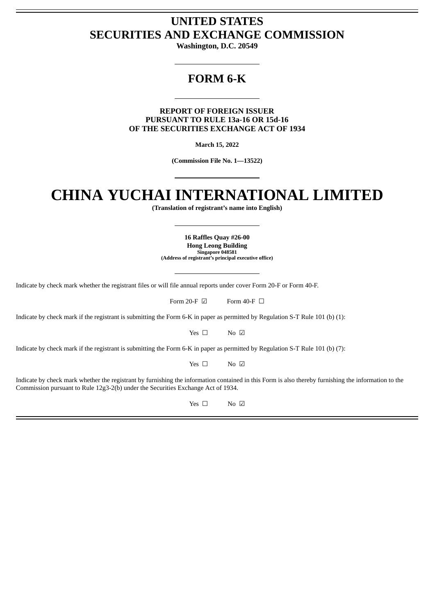# **UNITED STATES SECURITIES AND EXCHANGE COMMISSION**

**Washington, D.C. 20549**

# **FORM 6-K**

**REPORT OF FOREIGN ISSUER PURSUANT TO RULE 13a-16 OR 15d-16 OF THE SECURITIES EXCHANGE ACT OF 1934**

**March 15, 2022**

**(Commission File No. 1—13522)**

# **CHINA YUCHAI INTERNATIONAL LIMITED**

**(Translation of registrant's name into English)**

**16 Raffles Quay #26-00 Hong Leong Building Singapore 048581 (Address of registrant's principal executive office)**

Indicate by check mark whether the registrant files or will file annual reports under cover Form 20-F or Form 40-F.

Form 20-F  $\boxdot$  Form 40-F  $\Box$ 

Indicate by check mark if the registrant is submitting the Form 6-K in paper as permitted by Regulation S-T Rule 101 (b) (1):

Yes □ No ☑

Indicate by check mark if the registrant is submitting the Form 6-K in paper as permitted by Regulation S-T Rule 101 (b) (7):

Yes □ No ☑

Indicate by check mark whether the registrant by furnishing the information contained in this Form is also thereby furnishing the information to the Commission pursuant to Rule 12g3-2(b) under the Securities Exchange Act of 1934.

Yes □ No ☑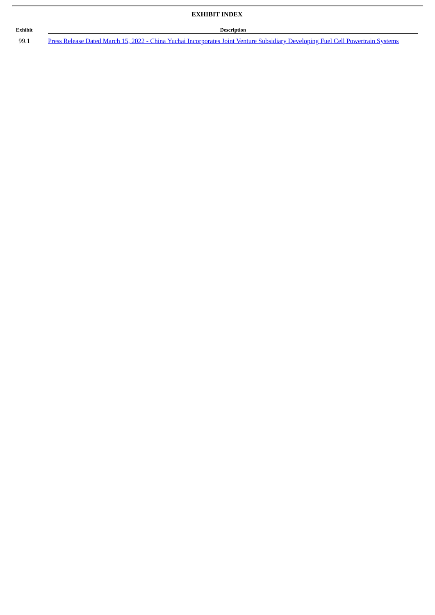# **Exhibit Description**

ł.

99.1 Press Release Dated March 15, 2022 - China Yuchai [Incorporates](#page-3-0) Joint Venture Subsidiary Developing Fuel Cell Powertrain Systems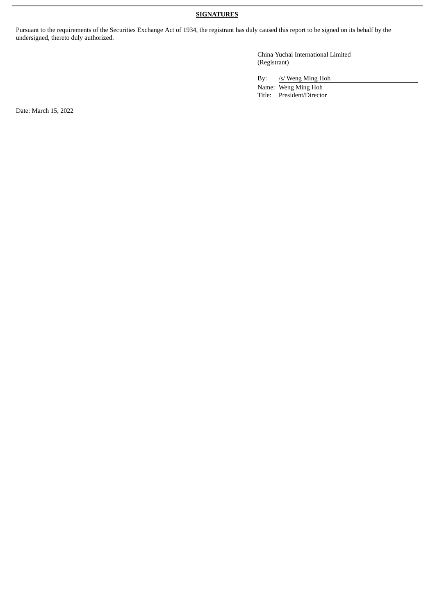# **SIGNATURES**

Pursuant to the requirements of the Securities Exchange Act of 1934, the registrant has duly caused this report to be signed on its behalf by the undersigned, thereto duly authorized.

> China Yuchai International Limited (Registrant)

By: /s/ Weng Ming Hoh

Name: Weng Ming Hoh Title: President/Director

Date: March 15, 2022